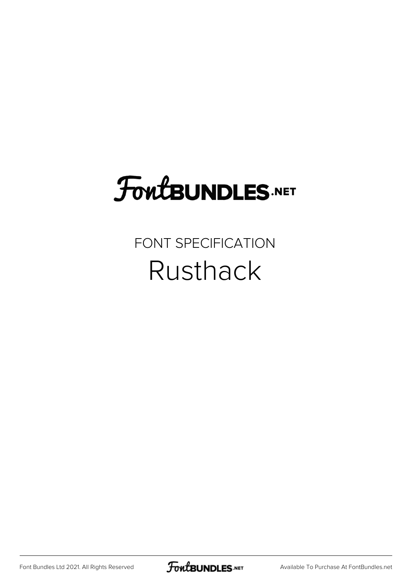# **FoutBUNDLES.NET**

#### FONT SPECIFICATION Rusthack

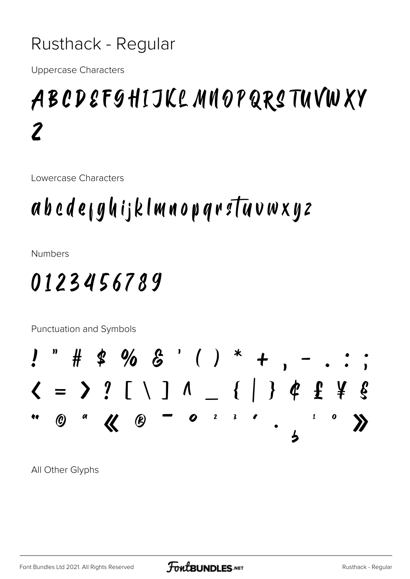#### Rusthack - Regular

**Uppercase Characters** 

## ABCDEFGHIJKL MNOPQRSTUVWXY  $\boldsymbol{Z}$

Lowercase Characters

## abederghijklmnopqrsTuvwxyz

**Numbers** 

### 0123456789

Punctuation and Symbols



All Other Glyphs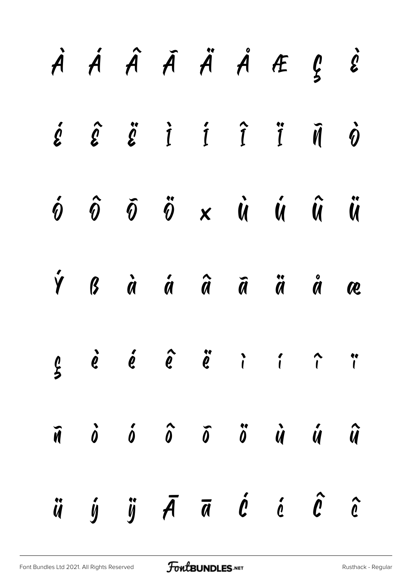|  |  |  | $\dot{A}$ $\dot{A}$ $\dot{A}$ $\ddot{A}$ $\dot{A}$ $\dot{B}$ $\dot{C}$                                                                                                                                                                                                                                                                                                                                     |  |
|--|--|--|------------------------------------------------------------------------------------------------------------------------------------------------------------------------------------------------------------------------------------------------------------------------------------------------------------------------------------------------------------------------------------------------------------|--|
|  |  |  | $\acute{\epsilon}$ $\hat{\epsilon}$ $\ddot{\epsilon}$ i i î ï n ò                                                                                                                                                                                                                                                                                                                                          |  |
|  |  |  | $\begin{array}{ccccccccc}\dot{\phi} & \hat{\phi} & \hat{\phi} & \ddot{\phi} & \times & \dot{\mathbf{u}} & \dot{\mathbf{u}} & \hat{\mathbf{u}} & \ddot{\mathbf{u}} & \end{array}$                                                                                                                                                                                                                           |  |
|  |  |  | $\dot{Y}$ $\dot{B}$ $\dot{a}$ $\dot{a}$ $\dot{a}$ $\ddot{a}$ $\ddot{a}$ $\ddot{a}$ $\ddot{a}$ $\ddot{a}$ $\ddot{a}$                                                                                                                                                                                                                                                                                        |  |
|  |  |  | $\begin{array}{ccccccccccccccccc} & & & & & & & \hat{e} & & \hat{e} & & \hat{e} & & \hat{e} & & \hat{e} & & \hat{e} & & \hat{e} & & \hat{e} & & \hat{e} & & \hat{e} & & \hat{e} & & \hat{e} & & \hat{e} & & \hat{e} & & \hat{e} & & \hat{e} & & \hat{e} & & \hat{e} & & \hat{e} & & \hat{e} & & \hat{e} & & \hat{e} & & \hat{e} & & \hat{e} & & \hat{e} & & \hat{e} & & \hat{e} & & \hat{e} & & \hat{e} &$ |  |
|  |  |  | $\vec{n}$ $\vec{o}$ $\hat{o}$ $\vec{o}$ $\vec{o}$ $\vec{o}$ $\vec{u}$ $\vec{u}$ $\hat{u}$                                                                                                                                                                                                                                                                                                                  |  |
|  |  |  | ü ý ÿ Ā ā Ć ć Ĉ ĉ                                                                                                                                                                                                                                                                                                                                                                                          |  |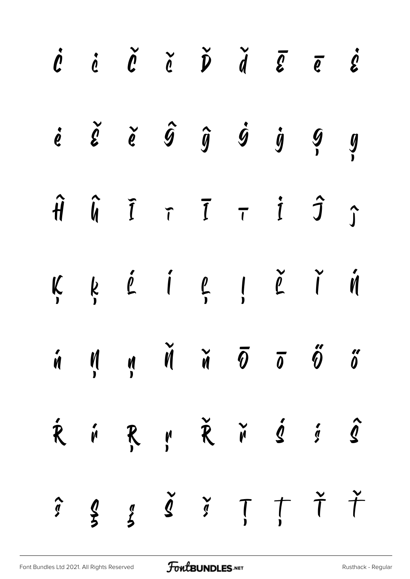|  |  |  | $\dot{c}$ $\dot{c}$ $\ddot{c}$ $\ddot{p}$ $\ddot{d}$ $\bar{e}$ $\ddot{e}$                                                           |  |
|--|--|--|-------------------------------------------------------------------------------------------------------------------------------------|--|
|  |  |  | $\check{e}$ $\check{e}$ $\check{e}$ $\hat{g}$ $\hat{g}$ $\dot{g}$ $\hat{g}$ $g$                                                     |  |
|  |  |  | $\hat{H}$ $\hat{U}$ $\hat{I}$ $\tau$ $\hat{I}$ $\hat{J}$                                                                            |  |
|  |  |  | K K É Í C J Č Ť Ń                                                                                                                   |  |
|  |  |  | $\acute{n}$ $\acute{q}$ $\acute{q}$ $\acute{q}$ $\acute{q}$ $\acute{q}$ $\acute{q}$ $\acute{q}$ $\acute{q}$ $\acute{q}$ $\acute{q}$ |  |
|  |  |  | ŔŕŖŗŘřŚŚ                                                                                                                            |  |
|  |  |  |                                                                                                                                     |  |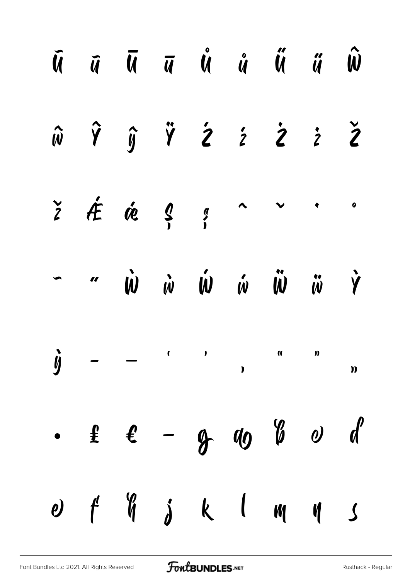|  |  | $\begin{array}{ccccccccccccccccc}\n\hat{U} & \hat{U} & \hat{U} & \hat{U} & \hat{U} & \hat{U} & \hat{U} & \hat{U} & \hat{U} & \hat{U} & \hat{U} & \hat{U} & \hat{U} & \hat{U} & \hat{U} & \hat{U} & \hat{U} & \hat{U} & \hat{U} & \hat{U} & \hat{U} & \hat{U} & \hat{U} & \hat{U} & \hat{U} & \hat{U} & \hat{U} & \hat{U} & \hat{U} & \hat{U} & \hat{U} & \hat{U} & \hat{U} & \hat{U} & \hat{U$                                                              |  |  |
|--|--|-------------------------------------------------------------------------------------------------------------------------------------------------------------------------------------------------------------------------------------------------------------------------------------------------------------------------------------------------------------------------------------------------------------------------------------------------------------|--|--|
|  |  | $\hat{w}$ $\hat{y}$ $\hat{y}$ $\hat{z}$ $\hat{z}$ $\hat{z}$ $\hat{z}$                                                                                                                                                                                                                                                                                                                                                                                       |  |  |
|  |  | $\check{z}$ $\hat{t}$ $\hat{\alpha}$ $\acute{s}$ $\acute{s}$ $\sim$ $\sim$                                                                                                                                                                                                                                                                                                                                                                                  |  |  |
|  |  | $\begin{array}{ccccccccc}\n\ddot{\hspace{12mm}} & \ddot{\hspace{12mm}} & \ddot{\hspace{12mm}} & \ddot{\hspace{12mm}} & \dot{\hspace{12mm}} & \dot{\hspace{12mm}} & \dot{\hspace{12mm}} & \dot{\hspace{12mm}} & \dot{\hspace{12mm}} & \dot{\hspace{12mm}} & \dot{\hspace{12mm}} & \dot{\hspace{12mm}} & \dot{\hspace{12mm}} & \dot{\hspace{12mm}} & \dot{\hspace{12mm}} & \dot{\hspace{12mm}} & \dot{\hspace{12mm}} & \dot{\hspace{12mm}} & \dot{\hspace{12$ |  |  |
|  |  | $\hat{y}$ - ( ) ( )                                                                                                                                                                                                                                                                                                                                                                                                                                         |  |  |
|  |  | $\cdot$ $f$ $f$ $ g$ $\omega$ $\theta$ $\omega$ $d$                                                                                                                                                                                                                                                                                                                                                                                                         |  |  |
|  |  | $\begin{array}{ccccccccccccccccc} \omega & f & \eta & \eta & \delta & k & l & m & q & s \end{array}$                                                                                                                                                                                                                                                                                                                                                        |  |  |